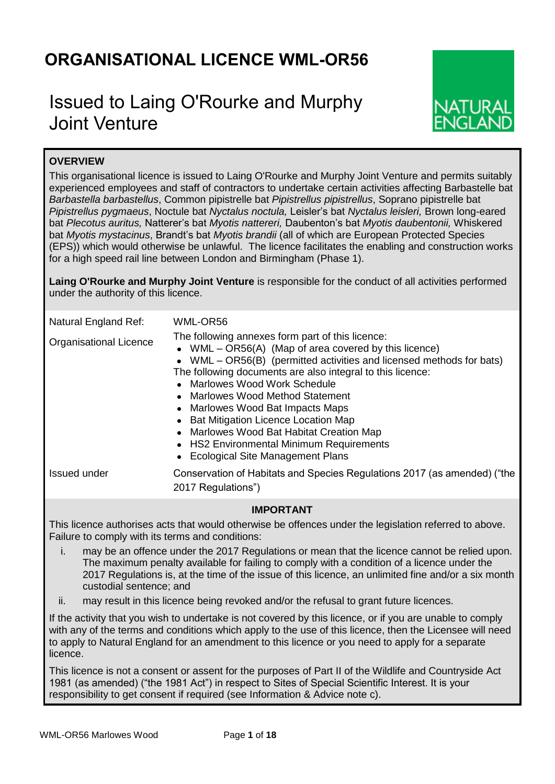# **ORGANISATIONAL LICENCE WML-OR56**

# Issued to Laing O'Rourke and Murphy Joint Venture



# **OVERVIEW**

This organisational licence is issued to Laing O'Rourke and Murphy Joint Venture and permits suitably experienced employees and staff of contractors to undertake certain activities affecting Barbastelle bat *Barbastella barbastellus*, Common pipistrelle bat *Pipistrellus pipistrellus*, Soprano pipistrelle bat *Pipistrellus pygmaeus*, Noctule bat *Nyctalus noctula,* Leisler's bat *Nyctalus leisleri,* Brown long-eared bat *Plecotus auritus,* Natterer's bat *Myotis nattereri,* Daubenton's bat *Myotis daubentonii,* Whiskered bat *Myotis mystacinus*, Brandt's bat *Myotis brandii* (all of which are European Protected Species (EPS)) which would otherwise be unlawful. The licence facilitates the enabling and construction works for a high speed rail line between London and Birmingham (Phase 1).

**Laing O'Rourke and Murphy Joint Venture** is responsible for the conduct of all activities performed under the authority of this licence.

| Natural England Ref:                             | WML-OR56                                                                                                                                                                                                                                                                                                                                                                                                                                                                                                                                    |  |  |  |  |
|--------------------------------------------------|---------------------------------------------------------------------------------------------------------------------------------------------------------------------------------------------------------------------------------------------------------------------------------------------------------------------------------------------------------------------------------------------------------------------------------------------------------------------------------------------------------------------------------------------|--|--|--|--|
| <b>Organisational Licence</b>                    | The following annexes form part of this licence:<br>• WML $-$ OR56(A) (Map of area covered by this licence)<br>• WML – OR56(B) (permitted activities and licensed methods for bats)<br>The following documents are also integral to this licence:<br>• Marlowes Wood Work Schedule<br>• Marlowes Wood Method Statement<br>• Marlowes Wood Bat Impacts Maps<br><b>Bat Mitigation Licence Location Map</b><br>• Marlowes Wood Bat Habitat Creation Map<br>• HS2 Environmental Minimum Requirements<br><b>Ecological Site Management Plans</b> |  |  |  |  |
| Issued under                                     | Conservation of Habitats and Species Regulations 2017 (as amended) ("the<br>2017 Regulations")                                                                                                                                                                                                                                                                                                                                                                                                                                              |  |  |  |  |
| <b>IMPORTANT</b>                                 |                                                                                                                                                                                                                                                                                                                                                                                                                                                                                                                                             |  |  |  |  |
| Failure to comply with its terms and conditions: | This licence authorises acts that would otherwise be offences under the legislation referred to above.<br>$\mathbf{u} = \mathbf{u}$ and $\mathbf{u} = \mathbf{u}$ and $\mathbf{u} = \mathbf{u}$                                                                                                                                                                                                                                                                                                                                             |  |  |  |  |

- i. may be an offence under the 2017 Regulations or mean that the licence cannot be relied upon. The maximum penalty available for failing to comply with a condition of a licence under the 2017 Regulations is, at the time of the issue of this licence, an unlimited fine and/or a six month custodial sentence; and
- ii. may result in this licence being revoked and/or the refusal to grant future licences.

If the activity that you wish to undertake is not covered by this licence, or if you are unable to comply with any of the terms and conditions which apply to the use of this licence, then the Licensee will need to apply to Natural England for an amendment to this licence or you need to apply for a separate licence.

This licence is not a consent or assent for the purposes of Part II of the Wildlife and Countryside Act 1981 (as amended) ("the 1981 Act") in respect to Sites of Special Scientific Interest. It is your responsibility to get consent if required (see Information & Advice note c).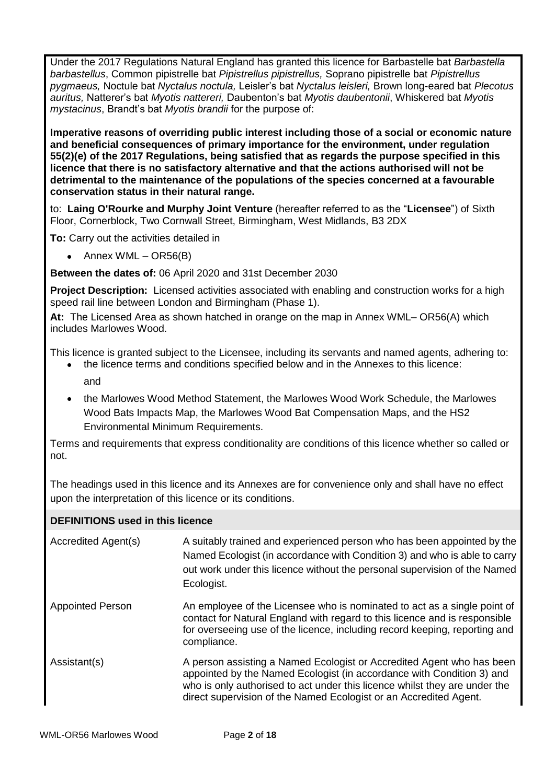Under the 2017 Regulations Natural England has granted this licence for Barbastelle bat *Barbastella barbastellus*, Common pipistrelle bat *Pipistrellus pipistrellus,* Soprano pipistrelle bat *Pipistrellus pygmaeus,* Noctule bat *Nyctalus noctula,* Leisler's bat *Nyctalus leisleri,* Brown long-eared bat *Plecotus auritus,* Natterer's bat *Myotis nattereri,* Daubenton's bat *Myotis daubentonii*, Whiskered bat *Myotis mystacinus*, Brandt's bat *Myotis brandii* for the purpose of:

**Imperative reasons of overriding public interest including those of a social or economic nature and beneficial consequences of primary importance for the environment, under regulation 55(2)(e) of the 2017 Regulations, being satisfied that as regards the purpose specified in this licence that there is no satisfactory alternative and that the actions authorised will not be detrimental to the maintenance of the populations of the species concerned at a favourable conservation status in their natural range.**

to: **Laing O'Rourke and Murphy Joint Venture** (hereafter referred to as the "**Licensee**") of Sixth Floor, Cornerblock, Two Cornwall Street, Birmingham, West Midlands, B3 2DX

**To:** Carry out the activities detailed in

 $\bullet$  Annex WML – OR56(B)

**Between the dates of:** 06 April 2020 and 31st December 2030

**Project Description:** Licensed activities associated with enabling and construction works for a high speed rail line between London and Birmingham (Phase 1).

**At:** The Licensed Area as shown hatched in orange on the map in Annex WML– OR56(A) which includes Marlowes Wood.

This licence is granted subject to the Licensee, including its servants and named agents, adhering to:

- the licence terms and conditions specified below and in the Annexes to this licence: and
- the Marlowes Wood Method Statement, the Marlowes Wood Work Schedule, the Marlowes Wood Bats Impacts Map, the Marlowes Wood Bat Compensation Maps, and the HS2 Environmental Minimum Requirements.

Terms and requirements that express conditionality are conditions of this licence whether so called or not.

The headings used in this licence and its Annexes are for convenience only and shall have no effect upon the interpretation of this licence or its conditions.

| Accredited Agent(s)     | A suitably trained and experienced person who has been appointed by the<br>Named Ecologist (in accordance with Condition 3) and who is able to carry<br>out work under this licence without the personal supervision of the Named<br>Ecologist.                                                   |
|-------------------------|---------------------------------------------------------------------------------------------------------------------------------------------------------------------------------------------------------------------------------------------------------------------------------------------------|
| <b>Appointed Person</b> | An employee of the Licensee who is nominated to act as a single point of<br>contact for Natural England with regard to this licence and is responsible<br>for overseeing use of the licence, including record keeping, reporting and<br>compliance.                                               |
| Assistant(s)            | A person assisting a Named Ecologist or Accredited Agent who has been<br>appointed by the Named Ecologist (in accordance with Condition 3) and<br>who is only authorised to act under this licence whilst they are under the<br>direct supervision of the Named Ecologist or an Accredited Agent. |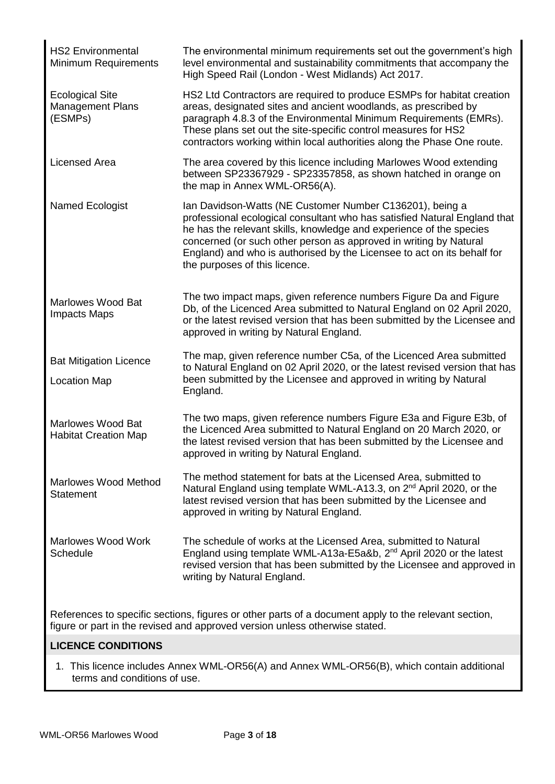| <b>HS2 Environmental</b><br>Minimum Requirements                                                     | The environmental minimum requirements set out the government's high<br>level environmental and sustainability commitments that accompany the<br>High Speed Rail (London - West Midlands) Act 2017.                                                                                                                                                                                           |  |  |  |  |
|------------------------------------------------------------------------------------------------------|-----------------------------------------------------------------------------------------------------------------------------------------------------------------------------------------------------------------------------------------------------------------------------------------------------------------------------------------------------------------------------------------------|--|--|--|--|
| <b>Ecological Site</b><br>Management Plans<br>(ESMPs)                                                | HS2 Ltd Contractors are required to produce ESMPs for habitat creation<br>areas, designated sites and ancient woodlands, as prescribed by<br>paragraph 4.8.3 of the Environmental Minimum Requirements (EMRs).<br>These plans set out the site-specific control measures for HS2<br>contractors working within local authorities along the Phase One route.                                   |  |  |  |  |
| Licensed Area                                                                                        | The area covered by this licence including Marlowes Wood extending<br>between SP23367929 - SP23357858, as shown hatched in orange on<br>the map in Annex WML-OR56(A).                                                                                                                                                                                                                         |  |  |  |  |
| Named Ecologist                                                                                      | Ian Davidson-Watts (NE Customer Number C136201), being a<br>professional ecological consultant who has satisfied Natural England that<br>he has the relevant skills, knowledge and experience of the species<br>concerned (or such other person as approved in writing by Natural<br>England) and who is authorised by the Licensee to act on its behalf for<br>the purposes of this licence. |  |  |  |  |
| <b>Marlowes Wood Bat</b><br><b>Impacts Maps</b>                                                      | The two impact maps, given reference numbers Figure Da and Figure<br>Db, of the Licenced Area submitted to Natural England on 02 April 2020,<br>or the latest revised version that has been submitted by the Licensee and<br>approved in writing by Natural England.                                                                                                                          |  |  |  |  |
| <b>Bat Mitigation Licence</b><br><b>Location Map</b>                                                 | The map, given reference number C5a, of the Licenced Area submitted<br>to Natural England on 02 April 2020, or the latest revised version that has<br>been submitted by the Licensee and approved in writing by Natural<br>England.                                                                                                                                                           |  |  |  |  |
| <b>Marlowes Wood Bat</b><br><b>Habitat Creation Map</b>                                              | The two maps, given reference numbers Figure E3a and Figure E3b, of<br>the Licenced Area submitted to Natural England on 20 March 2020, or<br>the latest revised version that has been submitted by the Licensee and<br>approved in writing by Natural England.                                                                                                                               |  |  |  |  |
| <b>Marlowes Wood Method</b><br><b>Statement</b>                                                      | The method statement for bats at the Licensed Area, submitted to<br>Natural England using template WML-A13.3, on 2 <sup>nd</sup> April 2020, or the<br>latest revised version that has been submitted by the Licensee and<br>approved in writing by Natural England.                                                                                                                          |  |  |  |  |
| <b>Marlowes Wood Work</b><br>Schedule                                                                | The schedule of works at the Licensed Area, submitted to Natural<br>England using template WML-A13a-E5a&b, 2 <sup>nd</sup> April 2020 or the latest<br>revised version that has been submitted by the Licensee and approved in<br>writing by Natural England.                                                                                                                                 |  |  |  |  |
| References to specific sections, figures or other parts of a document apply to the relevant section, |                                                                                                                                                                                                                                                                                                                                                                                               |  |  |  |  |

figure or part in the revised and approved version unless otherwise stated.

# **LICENCE CONDITIONS**

1. This licence includes Annex WML-OR56(A) and Annex WML-OR56(B), which contain additional terms and conditions of use.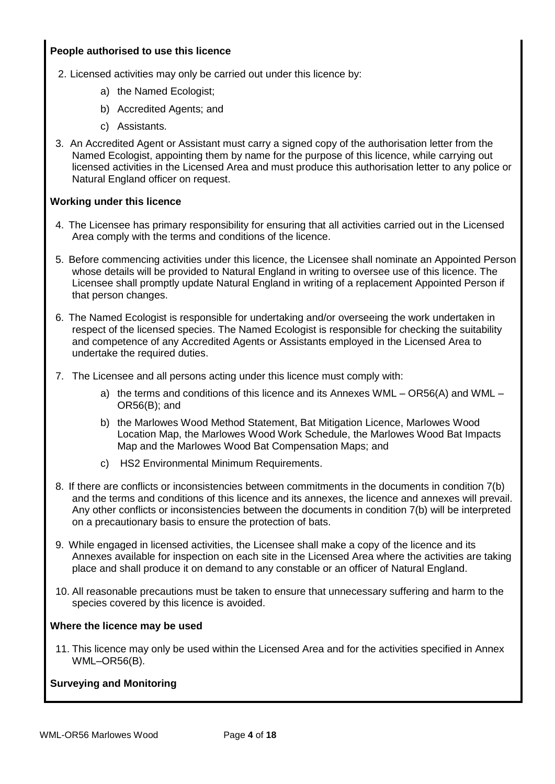# **People authorised to use this licence**

- 2. Licensed activities may only be carried out under this licence by:
	- a) the Named Ecologist;
	- b) Accredited Agents; and
	- c) Assistants.
- 3. An Accredited Agent or Assistant must carry a signed copy of the authorisation letter from the Named Ecologist, appointing them by name for the purpose of this licence, while carrying out licensed activities in the Licensed Area and must produce this authorisation letter to any police or Natural England officer on request.

## **Working under this licence**

- 4. The Licensee has primary responsibility for ensuring that all activities carried out in the Licensed Area comply with the terms and conditions of the licence.
- 5. Before commencing activities under this licence, the Licensee shall nominate an Appointed Person whose details will be provided to Natural England in writing to oversee use of this licence. The Licensee shall promptly update Natural England in writing of a replacement Appointed Person if that person changes.
- 6. The Named Ecologist is responsible for undertaking and/or overseeing the work undertaken in respect of the licensed species. The Named Ecologist is responsible for checking the suitability and competence of any Accredited Agents or Assistants employed in the Licensed Area to undertake the required duties.
- 7. The Licensee and all persons acting under this licence must comply with:
	- a) the terms and conditions of this licence and its Annexes WML OR56(A) and WML OR56(B); and
	- b) the Marlowes Wood Method Statement, Bat Mitigation Licence, Marlowes Wood Location Map, the Marlowes Wood Work Schedule, the Marlowes Wood Bat Impacts Map and the Marlowes Wood Bat Compensation Maps; and
	- c) HS2 Environmental Minimum Requirements.
- 8. If there are conflicts or inconsistencies between commitments in the documents in condition 7(b) and the terms and conditions of this licence and its annexes, the licence and annexes will prevail. Any other conflicts or inconsistencies between the documents in condition 7(b) will be interpreted on a precautionary basis to ensure the protection of bats.
- 9. While engaged in licensed activities, the Licensee shall make a copy of the licence and its Annexes available for inspection on each site in the Licensed Area where the activities are taking place and shall produce it on demand to any constable or an officer of Natural England.
- 10. All reasonable precautions must be taken to ensure that unnecessary suffering and harm to the species covered by this licence is avoided.

## **Where the licence may be used**

11. This licence may only be used within the Licensed Area and for the activities specified in Annex WML–OR56(B).

# **Surveying and Monitoring**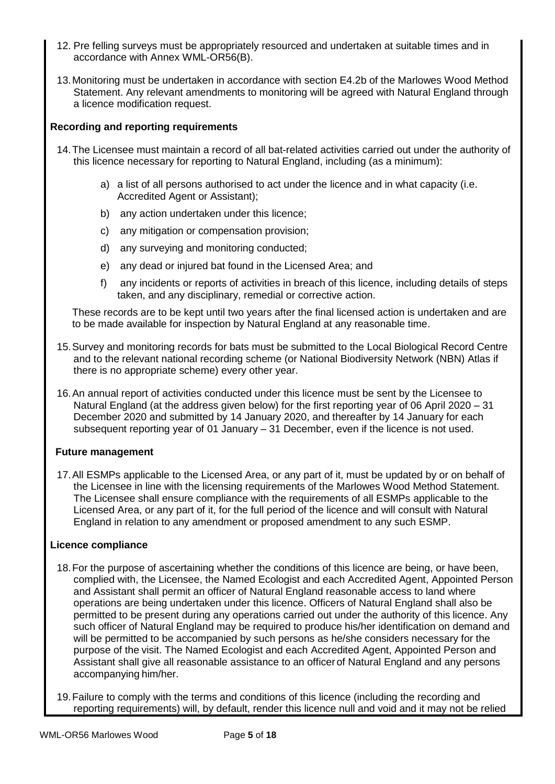- 12. Pre felling surveys must be appropriately resourced and undertaken at suitable times and in accordance with Annex WML-OR56(B).
- 13.Monitoring must be undertaken in accordance with section E4.2b of the Marlowes Wood Method Statement. Any relevant amendments to monitoring will be agreed with Natural England through a licence modification request.

## **Recording and reporting requirements**

- 14.The Licensee must maintain a record of all bat-related activities carried out under the authority of this licence necessary for reporting to Natural England, including (as a minimum):
	- a) a list of all persons authorised to act under the licence and in what capacity (i.e. Accredited Agent or Assistant);
	- b) any action undertaken under this licence;
	- c) any mitigation or compensation provision;
	- d) any surveying and monitoring conducted;
	- e) any dead or injured bat found in the Licensed Area; and
	- f) any incidents or reports of activities in breach of this licence, including details of steps taken, and any disciplinary, remedial or corrective action.

These records are to be kept until two years after the final licensed action is undertaken and are to be made available for inspection by Natural England at any reasonable time.

- 15.Survey and monitoring records for bats must be submitted to the Local Biological Record Centre and to the relevant national recording scheme (or National Biodiversity Network (NBN) Atlas if there is no appropriate scheme) every other year.
- 16.An annual report of activities conducted under this licence must be sent by the Licensee to Natural England (at the address given below) for the first reporting year of 06 April 2020 – 31 December 2020 and submitted by 14 January 2020, and thereafter by 14 January for each subsequent reporting year of 01 January – 31 December, even if the licence is not used.

## **Future management**

17.All ESMPs applicable to the Licensed Area, or any part of it, must be updated by or on behalf of the Licensee in line with the licensing requirements of the Marlowes Wood Method Statement. The Licensee shall ensure compliance with the requirements of all ESMPs applicable to the Licensed Area, or any part of it, for the full period of the licence and will consult with Natural England in relation to any amendment or proposed amendment to any such ESMP.

## **Licence compliance**

- 18.For the purpose of ascertaining whether the conditions of this licence are being, or have been, complied with, the Licensee, the Named Ecologist and each Accredited Agent, Appointed Person and Assistant shall permit an officer of Natural England reasonable access to land where operations are being undertaken under this licence. Officers of Natural England shall also be permitted to be present during any operations carried out under the authority of this licence. Any such officer of Natural England may be required to produce his/her identification on demand and will be permitted to be accompanied by such persons as he/she considers necessary for the purpose of the visit. The Named Ecologist and each Accredited Agent, Appointed Person and Assistant shall give all reasonable assistance to an officerof Natural England and any persons accompanying him/her.
- 19.Failure to comply with the terms and conditions of this licence (including the recording and reporting requirements) will, by default, render this licence null and void and it may not be relied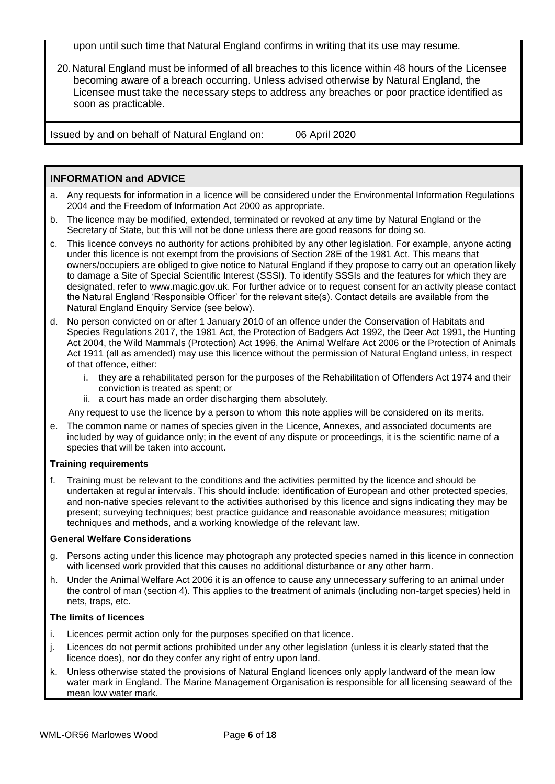upon until such time that Natural England confirms in writing that its use may resume.

20.Natural England must be informed of all breaches to this licence within 48 hours of the Licensee becoming aware of a breach occurring. Unless advised otherwise by Natural England, the Licensee must take the necessary steps to address any breaches or poor practice identified as soon as practicable.

Issued by and on behalf of Natural England on: 06 April 2020

# **INFORMATION and ADVICE**

- a. Any requests for information in a licence will be considered under the Environmental Information Regulations 2004 and the Freedom of Information Act 2000 as appropriate.
- b. The licence may be modified, extended, terminated or revoked at any time by Natural England or the Secretary of State, but this will not be done unless there are good reasons for doing so.
- c. This licence conveys no authority for actions prohibited by any other legislation. For example, anyone acting under this licence is not exempt from the provisions of Section 28E of the 1981 Act. This means that owners/occupiers are obliged to give notice to Natural England if they propose to carry out an operation likely to damage a Site of Special Scientific Interest (SSSI). To identify SSSIs and the features for which they are designated, refer to www.magic.gov.uk. For further advice or to request consent for an activity please contact the Natural England 'Responsible Officer' for the relevant site(s). Contact details are available from the Natural England Enquiry Service (see below).
- d. No person convicted on or after 1 January 2010 of an offence under the Conservation of Habitats and Species Regulations 2017, the 1981 Act, the Protection of Badgers Act 1992, the Deer Act 1991, the Hunting Act 2004, the Wild Mammals (Protection) Act 1996, the Animal Welfare Act 2006 or the Protection of Animals Act 1911 (all as amended) may use this licence without the permission of Natural England unless, in respect of that offence, either:
	- i. they are a rehabilitated person for the purposes of the Rehabilitation of Offenders Act 1974 and their conviction is treated as spent; or
	- ii. a court has made an order discharging them absolutely.

Any request to use the licence by a person to whom this note applies will be considered on its merits.

e. The common name or names of species given in the Licence, Annexes, and associated documents are included by way of guidance only; in the event of any dispute or proceedings, it is the scientific name of a species that will be taken into account.

## **Training requirements**

f. Training must be relevant to the conditions and the activities permitted by the licence and should be undertaken at regular intervals. This should include: identification of European and other protected species, and non-native species relevant to the activities authorised by this licence and signs indicating they may be present; surveying techniques; best practice guidance and reasonable avoidance measures; mitigation techniques and methods, and a working knowledge of the relevant law.

#### **General Welfare Considerations**

- g. Persons acting under this licence may photograph any protected species named in this licence in connection with licensed work provided that this causes no additional disturbance or any other harm.
- h. Under the Animal Welfare Act 2006 it is an offence to cause any unnecessary suffering to an animal under the control of man (section 4). This applies to the treatment of animals (including non-target species) held in nets, traps, etc.

## **The limits of licences**

- i. Licences permit action only for the purposes specified on that licence.
- j. Licences do not permit actions prohibited under any other legislation (unless it is clearly stated that the licence does), nor do they confer any right of entry upon land.
- k. Unless otherwise stated the provisions of Natural England licences only apply landward of the mean low water mark in England. The Marine Management Organisation is responsible for all licensing seaward of the mean low water mark.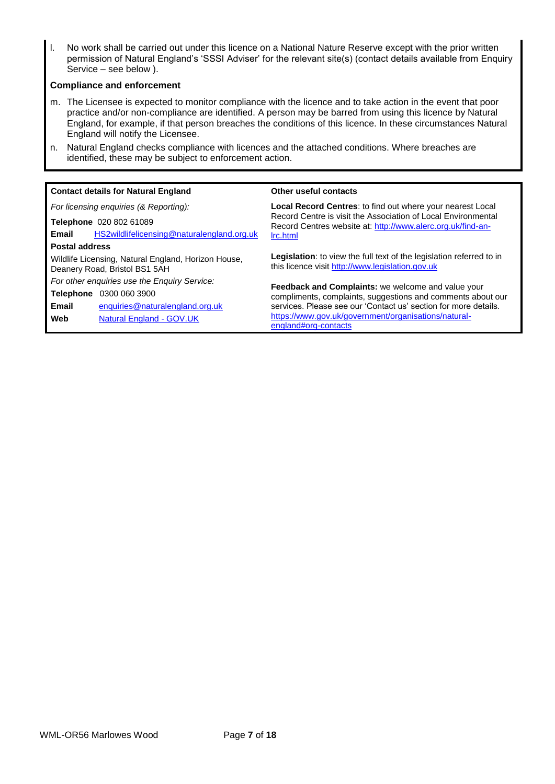l. No work shall be carried out under this licence on a National Nature Reserve except with the prior written permission of Natural England's 'SSSI Adviser' for the relevant site(s) (contact details available from Enquiry Service – see below ).

#### **Compliance and enforcement**

- m. The Licensee is expected to monitor compliance with the licence and to take action in the event that poor practice and/or non-compliance are identified. A person may be barred from using this licence by Natural England, for example, if that person breaches the conditions of this licence. In these circumstances Natural England will notify the Licensee.
- n. Natural England checks compliance with licences and the attached conditions. Where breaches are identified, these may be subject to enforcement action.

| <b>Contact details for Natural England</b>                                           | Other useful contacts                                                                                                        |  |  |  |
|--------------------------------------------------------------------------------------|------------------------------------------------------------------------------------------------------------------------------|--|--|--|
| For licensing enquiries (& Reporting):                                               | Local Record Centres: to find out where your nearest Local                                                                   |  |  |  |
| Telephone 020 802 61089                                                              | Record Centre is visit the Association of Local Environmental<br>Record Centres website at: http://www.alerc.org.uk/find-an- |  |  |  |
| HS2wildlifelicensing@naturalengland.org.uk<br>Email                                  | Irc.html                                                                                                                     |  |  |  |
| <b>Postal address</b>                                                                |                                                                                                                              |  |  |  |
| Wildlife Licensing, Natural England, Horizon House,<br>Deanery Road, Bristol BS1 5AH | Legislation: to view the full text of the legislation referred to in<br>this licence visit http://www.legislation.gov.uk     |  |  |  |
| For other enquiries use the Enquiry Service:                                         | <b>Feedback and Complaints:</b> we welcome and value your                                                                    |  |  |  |
| 0300 060 3900<br><b>Telephone</b>                                                    | compliments, complaints, suggestions and comments about our                                                                  |  |  |  |
| Email<br>enquiries@naturalengland.org.uk                                             | services. Please see our 'Contact us' section for more details.                                                              |  |  |  |
| Web<br><b>Natural England - GOV.UK</b>                                               | https://www.gov.uk/government/organisations/natural-<br>england#org-contacts                                                 |  |  |  |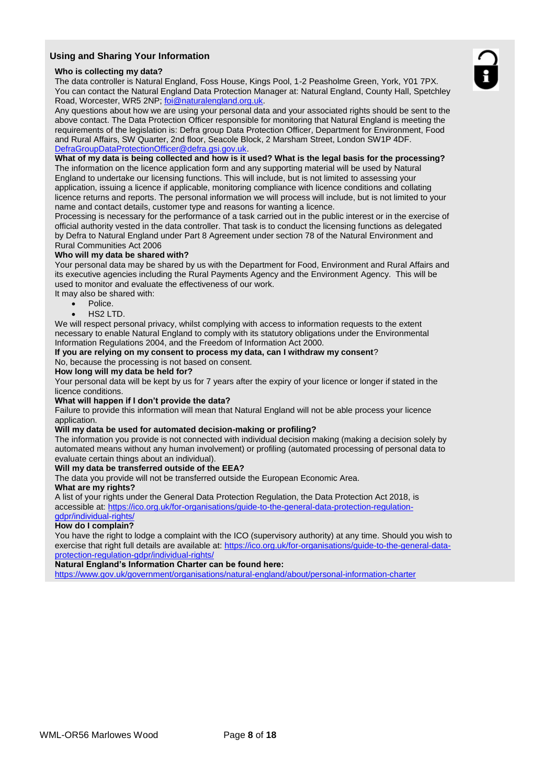## **Using and Sharing Your Information**

#### **Who is collecting my data?**

The data controller is Natural England, Foss House, Kings Pool, 1-2 Peasholme Green, York, Y01 7PX. You can contact the Natural England Data Protection Manager at: Natural England, County Hall, Spetchley Road, Worcester, WR5 2NP; [foi@naturalengland.org.uk.](mailto:foi@naturalengland.org.uk)

Any questions about how we are using your personal data and your associated rights should be sent to the above contact. The Data Protection Officer responsible for monitoring that Natural England is meeting the requirements of the legislation is: Defra group Data Protection Officer, Department for Environment, Food and Rural Affairs, SW Quarter, 2nd floor, Seacole Block, 2 Marsham Street, London SW1P 4DF. [DefraGroupDataProtectionOfficer@defra.gsi.gov.uk.](mailto:DefraGroupDataProtectionOfficer@defra.gsi.gov.uk)

#### **What of my data is being collected and how is it used? What is the legal basis for the processing?**

The information on the licence application form and any supporting material will be used by Natural England to undertake our licensing functions. This will include, but is not limited to assessing your application, issuing a licence if applicable, monitoring compliance with licence conditions and collating licence returns and reports. The personal information we will process will include, but is not limited to your name and contact details, customer type and reasons for wanting a licence.

Processing is necessary for the performance of a task carried out in the public interest or in the exercise of official authority vested in the data controller. That task is to conduct the licensing functions as delegated by Defra to Natural England under Part 8 Agreement under section 78 of the Natural Environment and Rural Communities Act 2006

#### **Who will my data be shared with?**

Your personal data may be shared by us with the Department for Food, Environment and Rural Affairs and its executive agencies including the Rural Payments Agency and the Environment Agency. This will be used to monitor and evaluate the effectiveness of our work.

It may also be shared with:

- Police.
- HS2 LTD.

We will respect personal privacy, whilst complying with access to information requests to the extent necessary to enable Natural England to comply with its statutory obligations under the Environmental Information Regulations 2004, and the Freedom of Information Act 2000.

#### **If you are relying on my consent to process my data, can I withdraw my consent**?

No, because the processing is not based on consent.

#### **How long will my data be held for?**

Your personal data will be kept by us for 7 years after the expiry of your licence or longer if stated in the licence conditions.

#### **What will happen if I don't provide the data?**

Failure to provide this information will mean that Natural England will not be able process your licence application.

#### **Will my data be used for automated decision-making or profiling?**

The information you provide is not connected with individual decision making (making a decision solely by automated means without any human involvement) or profiling (automated processing of personal data to evaluate certain things about an individual).

#### **Will my data be transferred outside of the EEA?**

The data you provide will not be transferred outside the European Economic Area.

### **What are my rights?**

A list of your rights under the General Data Protection Regulation, the Data Protection Act 2018, is accessible at: [https://ico.org.uk/for-organisations/guide-to-the-general-data-protection-regulation](https://ico.org.uk/for-organisations/guide-to-the-general-data-protection-regulation-gdpr/individual-rights/)[gdpr/individual-rights/](https://ico.org.uk/for-organisations/guide-to-the-general-data-protection-regulation-gdpr/individual-rights/)

#### **How do I complain?**

You have the right to lodge a complaint with the ICO (supervisory authority) at any time. Should you wish to exercise that right full details are available at: [https://ico.org.uk/for-organisations/guide-to-the-general-data](https://ico.org.uk/for-organisations/guide-to-the-general-data-protection-regulation-gdpr/individual-rights/)[protection-regulation-gdpr/individual-rights/](https://ico.org.uk/for-organisations/guide-to-the-general-data-protection-regulation-gdpr/individual-rights/)

#### **Natural England's Information Charter can be found here:**

<https://www.gov.uk/government/organisations/natural-england/about/personal-information-charter>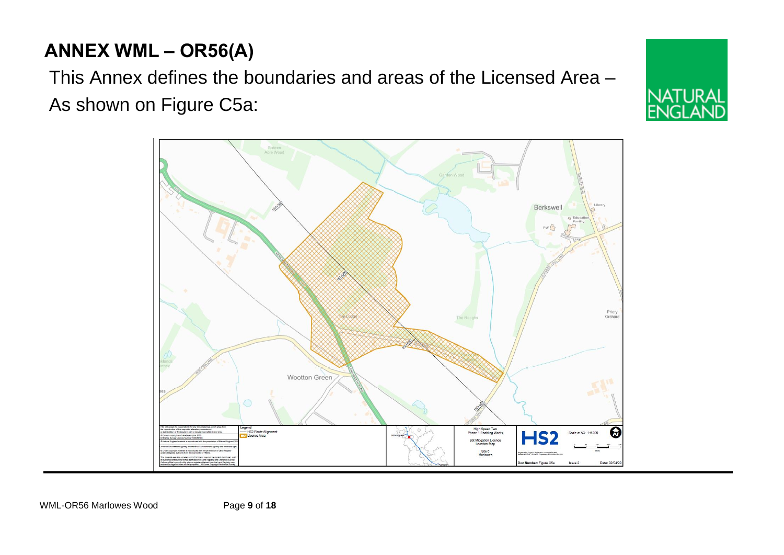# **ANNEX WML – OR56(A)**

This Annex defines the boundaries and areas of the Licensed Area – As shown on Figure C5a:



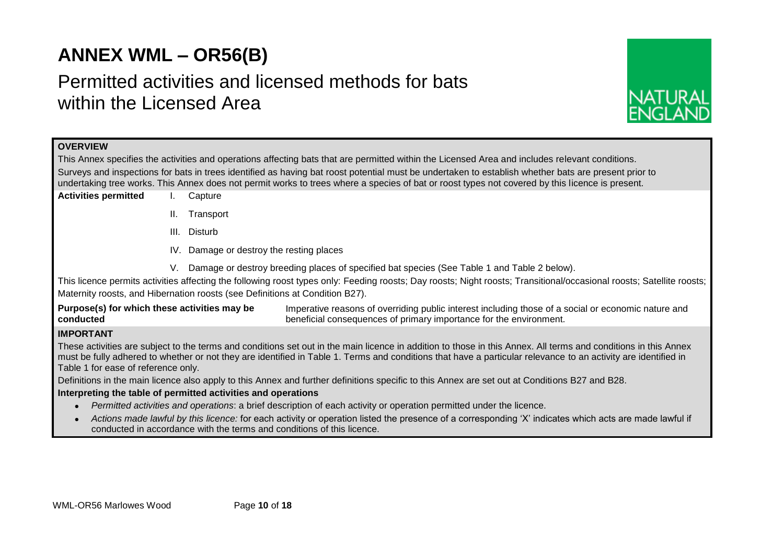# **ANNEX WML – OR56(B)**

# Permitted activities and licensed methods for bats within the Licensed Area



## **OVERVIEW**

This Annex specifies the activities and operations affecting bats that are permitted within the Licensed Area and includes relevant conditions. Surveys and inspections for bats in trees identified as having bat roost potential must be undertaken to establish whether bats are present prior to undertaking tree works. This Annex does not permit works to trees where a species of bat or roost types not covered by this licence is present.

- **Activities permitted** I. Capture
	- II. Transport
	- III. Disturb
	- IV. Damage or destroy the resting places
	- V. Damage or destroy breeding places of specified bat species (See Table 1 and Table 2 below).

This licence permits activities affecting the following roost types only: Feeding roosts; Day roosts; Night roosts; Transitional/occasional roosts; Satellite roosts; Maternity roosts, and Hibernation roosts (see Definitions at Condition B27).

**Purpose(s) for which these activities may be conducted** Imperative reasons of overriding public interest including those of a social or economic nature and beneficial consequences of primary importance for the environment.

## **IMPORTANT**

These activities are subject to the terms and conditions set out in the main licence in addition to those in this Annex. All terms and conditions in this Annex must be fully adhered to whether or not they are identified in Table 1. Terms and conditions that have a particular relevance to an activity are identified in Table 1 for ease of reference only.

Definitions in the main licence also apply to this Annex and further definitions specific to this Annex are set out at Conditions B27 and B28.

## **Interpreting the table of permitted activities and operations**

- *Permitted activities and operations*: a brief description of each activity or operation permitted under the licence.
- *Actions made lawful by this licence:* for each activity or operation listed the presence of a corresponding 'X' indicates which acts are made lawful if conducted in accordance with the terms and conditions of this licence.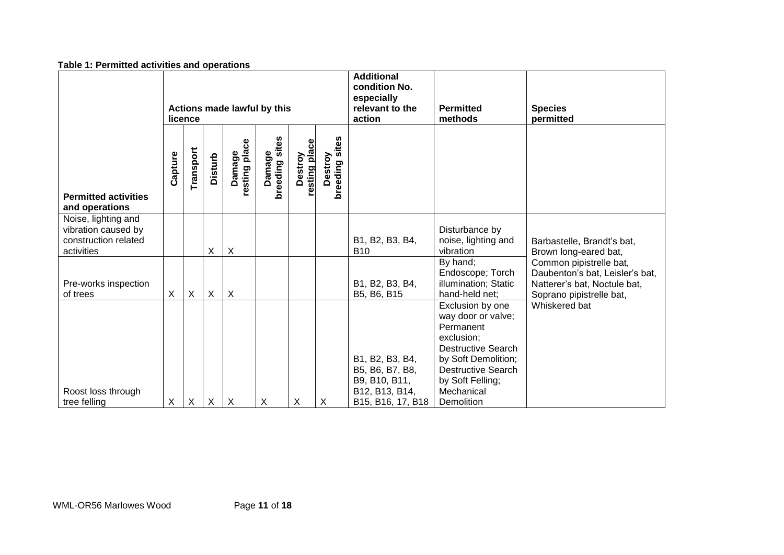| Table 1. Fermitted activities and operations                                     |                                        |           |                |                           |                          |                          |                           |                                                                                            |                                                                                                                                                                                                    |                                                                                                                        |
|----------------------------------------------------------------------------------|----------------------------------------|-----------|----------------|---------------------------|--------------------------|--------------------------|---------------------------|--------------------------------------------------------------------------------------------|----------------------------------------------------------------------------------------------------------------------------------------------------------------------------------------------------|------------------------------------------------------------------------------------------------------------------------|
|                                                                                  | Actions made lawful by this<br>licence |           |                |                           |                          |                          |                           | <b>Additional</b><br>condition No.<br>especially<br>relevant to the<br>action              | <b>Permitted</b><br>methods                                                                                                                                                                        | <b>Species</b><br>permitted                                                                                            |
| <b>Permitted activities</b><br>and operations                                    | Capture                                | Transport | <b>Disturb</b> | resting place<br>Damage   | Damage<br>breeding sites | resting place<br>Destroy | Destroy<br>breeding sites |                                                                                            |                                                                                                                                                                                                    |                                                                                                                        |
| Noise, lighting and<br>vibration caused by<br>construction related<br>activities |                                        |           | X              | $\boldsymbol{\mathsf{X}}$ |                          |                          |                           | B1, B2, B3, B4,<br><b>B10</b>                                                              | Disturbance by<br>noise, lighting and<br>vibration                                                                                                                                                 | Barbastelle, Brandt's bat,<br>Brown long-eared bat,                                                                    |
| Pre-works inspection<br>of trees                                                 | X                                      | X         | X              | $\boldsymbol{\mathsf{X}}$ |                          |                          |                           | B1, B2, B3, B4,<br>B5, B6, B15                                                             | By hand;<br>Endoscope; Torch<br>illumination; Static<br>hand-held net;                                                                                                                             | Common pipistrelle bat,<br>Daubenton's bat, Leisler's bat,<br>Natterer's bat, Noctule bat,<br>Soprano pipistrelle bat, |
| Roost loss through<br>tree felling                                               | X                                      | X         | X              | $\boldsymbol{\mathsf{X}}$ | X                        | Χ                        | $\times$                  | B1, B2, B3, B4,<br>B5, B6, B7, B8,<br>B9, B10, B11,<br>B12, B13, B14,<br>B15, B16, 17, B18 | Exclusion by one<br>way door or valve;<br>Permanent<br>exclusion;<br><b>Destructive Search</b><br>by Soft Demolition;<br><b>Destructive Search</b><br>by Soft Felling;<br>Mechanical<br>Demolition | Whiskered bat                                                                                                          |

### **Table 1: Permitted activities and operations**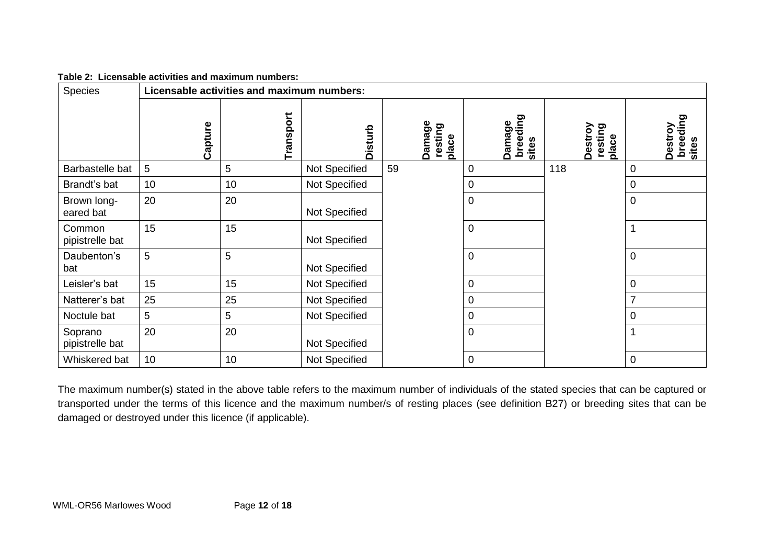| Table 2: Licensable activities and maximum numbers: |  |
|-----------------------------------------------------|--|
|                                                     |  |

| Species                    | Licensable activities and maximum numbers: |           |                |                            |                             |                             |                              |
|----------------------------|--------------------------------------------|-----------|----------------|----------------------------|-----------------------------|-----------------------------|------------------------------|
|                            | Capture                                    | Transport | <b>Disturb</b> | Damage<br>resting<br>place | breeding<br>Damage<br>sites | Destroy<br>resting<br>place | breeding<br>Destroy<br>sites |
| Barbastelle bat            | 5                                          | 5         | Not Specified  | 59                         | $\mathbf 0$                 | 118                         | 0                            |
| Brandt's bat               | 10                                         | 10        | Not Specified  |                            | $\mathbf 0$                 |                             | $\mathsf 0$                  |
| Brown long-<br>eared bat   | 20                                         | 20        | Not Specified  |                            | $\mathbf 0$                 |                             | $\mathsf 0$                  |
| Common<br>pipistrelle bat  | 15                                         | 15        | Not Specified  |                            | $\mathbf 0$                 |                             |                              |
| Daubenton's<br>bat         | 5                                          | 5         | Not Specified  |                            | $\mathbf 0$                 |                             | $\mathsf 0$                  |
| Leisler's bat              | 15                                         | 15        | Not Specified  |                            | $\mathbf 0$                 |                             | $\mathsf 0$                  |
| Natterer's bat             | 25                                         | 25        | Not Specified  |                            | $\mathbf 0$                 |                             | $\overline{7}$               |
| Noctule bat                | 5                                          | 5         | Not Specified  |                            | $\mathbf 0$                 |                             | $\mathsf 0$                  |
| Soprano<br>pipistrelle bat | 20                                         | 20        | Not Specified  |                            | $\overline{0}$              |                             |                              |
| Whiskered bat              | 10                                         | 10        | Not Specified  |                            | $\mathbf 0$                 |                             | $\mathsf 0$                  |

The maximum number(s) stated in the above table refers to the maximum number of individuals of the stated species that can be captured or transported under the terms of this licence and the maximum number/s of resting places (see definition B27) or breeding sites that can be damaged or destroyed under this licence (if applicable).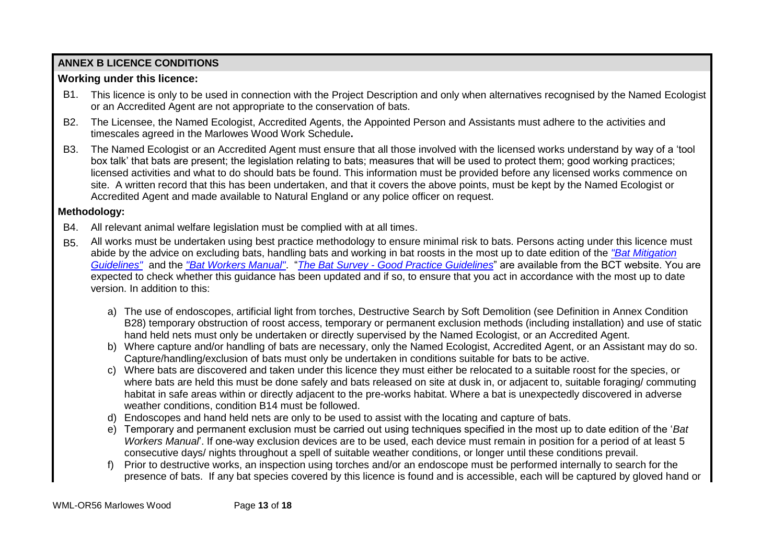# **ANNEX B LICENCE CONDITIONS**

# **Working under this licence:**

- B1. This licence is only to be used in connection with the Project Description and only when alternatives recognised by the Named Ecologist or an Accredited Agent are not appropriate to the conservation of bats.
- B2. The Licensee, the Named Ecologist, Accredited Agents, the Appointed Person and Assistants must adhere to the activities and timescales agreed in the Marlowes Wood Work Schedule**.**
- B3. The Named Ecologist or an Accredited Agent must ensure that all those involved with the licensed works understand by way of a 'tool box talk' that bats are present; the legislation relating to bats; measures that will be used to protect them; good working practices; licensed activities and what to do should bats be found. This information must be provided before any licensed works commence on site. A written record that this has been undertaken, and that it covers the above points, must be kept by the Named Ecologist or Accredited Agent and made available to Natural England or any police officer on request.

# **Methodology:**

- B4. All relevant animal welfare legislation must be complied with at all times.
- B5. All works must be undertaken using best practice methodology to ensure minimal risk to bats. Persons acting under this licence must abide by the advice on excluding bats, handling bats and working in bat roosts in the most up to date edition of the *["Bat Mitigation](http://webarchive.nationalarchives.gov.uk/20140605090108/http:/publications.naturalengland.org.uk/publication/69046?category=31008)  [Guidelines"](http://webarchive.nationalarchives.gov.uk/20140605090108/http:/publications.naturalengland.org.uk/publication/69046?category=31008)* and the *["Bat Workers Manual"](http://jncc.defra.gov.uk/page-2861)*. "*The Bat Survey - [Good Practice Guidelines](http://www.bats.org.uk/pages/batsurveyguide.html)*" are available from the BCT website. You are expected to check whether this guidance has been updated and if so, to ensure that you act in accordance with the most up to date version. In addition to this:
	- a) The use of endoscopes, artificial light from torches, Destructive Search by Soft Demolition (see Definition in Annex Condition B28) temporary obstruction of roost access, temporary or permanent exclusion methods (including installation) and use of static hand held nets must only be undertaken or directly supervised by the Named Ecologist, or an Accredited Agent.
	- b) Where capture and/or handling of bats are necessary, only the Named Ecologist, Accredited Agent, or an Assistant may do so. Capture/handling/exclusion of bats must only be undertaken in conditions suitable for bats to be active.
	- c) Where bats are discovered and taken under this licence they must either be relocated to a suitable roost for the species, or where bats are held this must be done safely and bats released on site at dusk in, or adjacent to, suitable foraging/ commuting habitat in safe areas within or directly adjacent to the pre-works habitat. Where a bat is unexpectedly discovered in adverse weather conditions, condition B14 must be followed.
	- d) Endoscopes and hand held nets are only to be used to assist with the locating and capture of bats.
	- e) Temporary and permanent exclusion must be carried out using techniques specified in the most up to date edition of the '*Bat Workers Manual*'. If one-way exclusion devices are to be used, each device must remain in position for a period of at least 5 consecutive days/ nights throughout a spell of suitable weather conditions, or longer until these conditions prevail.
	- f) Prior to destructive works, an inspection using torches and/or an endoscope must be performed internally to search for the presence of bats. If any bat species covered by this licence is found and is accessible, each will be captured by gloved hand or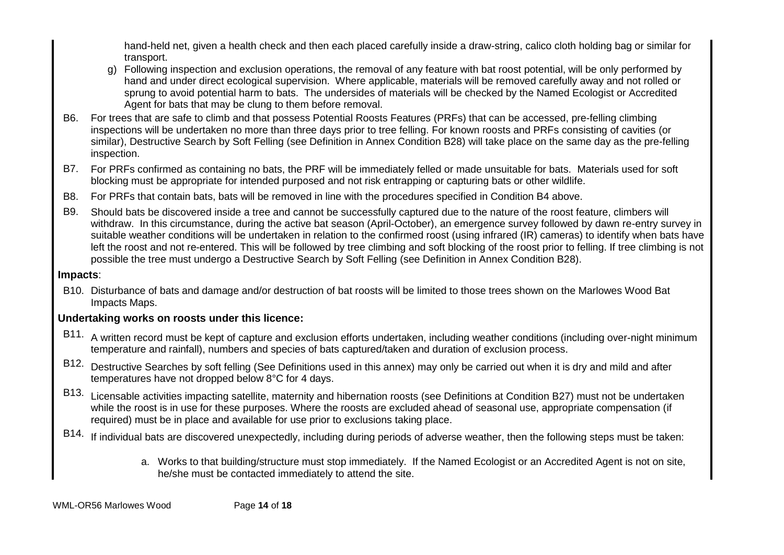hand-held net, given a health check and then each placed carefully inside a draw-string, calico cloth holding bag or similar for transport.

- g) Following inspection and exclusion operations, the removal of any feature with bat roost potential, will be only performed by hand and under direct ecological supervision. Where applicable, materials will be removed carefully away and not rolled or sprung to avoid potential harm to bats. The undersides of materials will be checked by the Named Ecologist or Accredited Agent for bats that may be clung to them before removal.
- B6. For trees that are safe to climb and that possess Potential Roosts Features (PRFs) that can be accessed, pre-felling climbing inspections will be undertaken no more than three days prior to tree felling. For known roosts and PRFs consisting of cavities (or similar), Destructive Search by Soft Felling (see Definition in Annex Condition B28) will take place on the same day as the pre-felling inspection.
- B7. For PRFs confirmed as containing no bats, the PRF will be immediately felled or made unsuitable for bats. Materials used for soft blocking must be appropriate for intended purposed and not risk entrapping or capturing bats or other wildlife.
- B8. For PRFs that contain bats, bats will be removed in line with the procedures specified in Condition B4 above.
- B9. Should bats be discovered inside a tree and cannot be successfully captured due to the nature of the roost feature, climbers will withdraw. In this circumstance, during the active bat season (April-October), an emergence survey followed by dawn re-entry survey in suitable weather conditions will be undertaken in relation to the confirmed roost (using infrared (IR) cameras) to identify when bats have left the roost and not re-entered. This will be followed by tree climbing and soft blocking of the roost prior to felling. If tree climbing is not possible the tree must undergo a Destructive Search by Soft Felling (see Definition in Annex Condition B28).

# **Impacts**:

B10. Disturbance of bats and damage and/or destruction of bat roosts will be limited to those trees shown on the Marlowes Wood Bat Impacts Maps.

# **Undertaking works on roosts under this licence:**

- B11. A written record must be kept of capture and exclusion efforts undertaken, including weather conditions (including over-night minimum temperature and rainfall), numbers and species of bats captured/taken and duration of exclusion process.
- B12. Destructive Searches by soft felling (See Definitions used in this annex) may only be carried out when it is dry and mild and after temperatures have not dropped below 8°C for 4 days.
- B13. Licensable activities impacting satellite, maternity and hibernation roosts (see Definitions at Condition B27) must not be undertaken while the roost is in use for these purposes. Where the roosts are excluded ahead of seasonal use, appropriate compensation (if required) must be in place and available for use prior to exclusions taking place.
- B14. If individual bats are discovered unexpectedly, including during periods of adverse weather, then the following steps must be taken:
	- a. Works to that building/structure must stop immediately. If the Named Ecologist or an Accredited Agent is not on site, he/she must be contacted immediately to attend the site.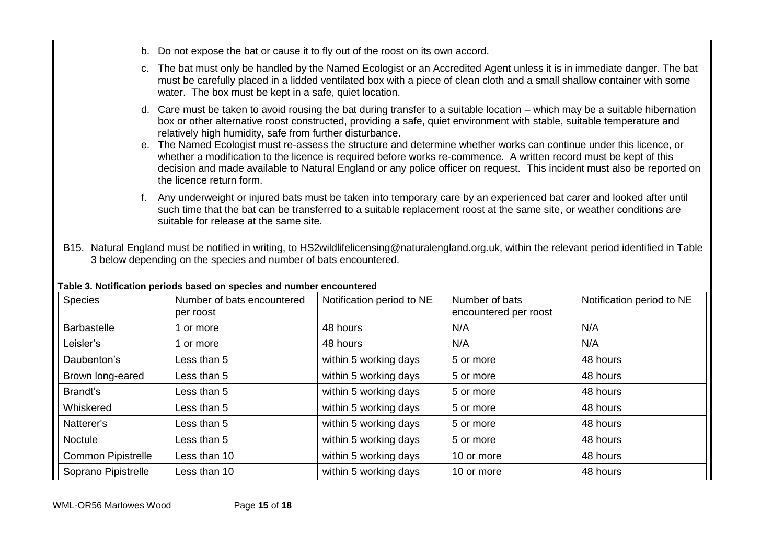- b. Do not expose the bat or cause it to fly out of the roost on its own accord.
- c. The bat must only be handled by the Named Ecologist or an Accredited Agent unless it is in immediate danger. The bat must be carefully placed in a lidded ventilated box with a piece of clean cloth and a small shallow container with some water. The box must be kept in a safe, quiet location.
- d. Care must be taken to avoid rousing the bat during transfer to a suitable location which may be a suitable hibernation box or other alternative roost constructed, providing a safe, quiet environment with stable, suitable temperature and relatively high humidity, safe from further disturbance.
- e. The Named Ecologist must re-assess the structure and determine whether works can continue under this licence, or whether a modification to the licence is required before works re-commence. A written record must be kept of this decision and made available to Natural England or any police officer on request. This incident must also be reported on the licence return form.
- f. Any underweight or injured bats must be taken into temporary care by an experienced bat carer and looked after until such time that the bat can be transferred to a suitable replacement roost at the same site, or weather conditions are suitable for release at the same site.
- B15. Natural England must be notified in writing, to HS2wildlifelicensing@naturalengland.org.uk, within the relevant period identified in Table 3 below depending on the species and number of bats encountered.

| <b>Species</b>            | Number of bats encountered<br>per roost | Notification period to NE | Number of bats<br>encountered per roost | Notification period to NE |
|---------------------------|-----------------------------------------|---------------------------|-----------------------------------------|---------------------------|
| Barbastelle               | 1 or more                               | 48 hours                  | N/A                                     | N/A                       |
| Leisler's                 | 1 or more                               | 48 hours                  | N/A                                     | N/A                       |
| Daubenton's               | Less than 5                             | within 5 working days     | 5 or more                               | 48 hours                  |
| Brown long-eared          | Less than 5                             | within 5 working days     | 5 or more                               | 48 hours                  |
| Brandt's                  | Less than 5                             | within 5 working days     | 5 or more                               | 48 hours                  |
| Whiskered                 | Less than 5                             | within 5 working days     | 5 or more                               | 48 hours                  |
| Natterer's                | Less than 5                             | within 5 working days     | 5 or more                               | 48 hours                  |
| Noctule                   | Less than 5                             | within 5 working days     | 5 or more                               | 48 hours                  |
| <b>Common Pipistrelle</b> | Less than 10                            | within 5 working days     | 10 or more                              | 48 hours                  |
| Soprano Pipistrelle       | Less than 10                            | within 5 working days     | 10 or more                              | 48 hours                  |

# **Table 3. Notification periods based on species and number encountered**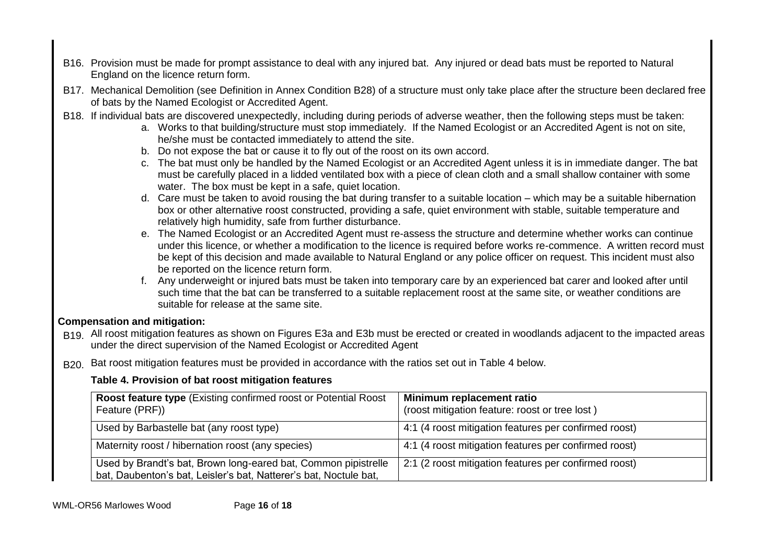- B16. Provision must be made for prompt assistance to deal with any injured bat. Any injured or dead bats must be reported to Natural England on the licence return form.
- B17. Mechanical Demolition (see Definition in Annex Condition B28) of a structure must only take place after the structure been declared free of bats by the Named Ecologist or Accredited Agent.
- B18. If individual bats are discovered unexpectedly, including during periods of adverse weather, then the following steps must be taken:
	- a. Works to that building/structure must stop immediately. If the Named Ecologist or an Accredited Agent is not on site, he/she must be contacted immediately to attend the site.
	- b. Do not expose the bat or cause it to fly out of the roost on its own accord.
	- c. The bat must only be handled by the Named Ecologist or an Accredited Agent unless it is in immediate danger. The bat must be carefully placed in a lidded ventilated box with a piece of clean cloth and a small shallow container with some water. The box must be kept in a safe, quiet location.
	- d. Care must be taken to avoid rousing the bat during transfer to a suitable location which may be a suitable hibernation box or other alternative roost constructed, providing a safe, quiet environment with stable, suitable temperature and relatively high humidity, safe from further disturbance.
	- e. The Named Ecologist or an Accredited Agent must re-assess the structure and determine whether works can continue under this licence, or whether a modification to the licence is required before works re-commence. A written record must be kept of this decision and made available to Natural England or any police officer on request. This incident must also be reported on the licence return form.
	- f. Any underweight or injured bats must be taken into temporary care by an experienced bat carer and looked after until such time that the bat can be transferred to a suitable replacement roost at the same site, or weather conditions are suitable for release at the same site.

# **Compensation and mitigation:**

- B<sub>19.</sub> All roost mitigation features as shown on Figures E3a and E3b must be erected or created in woodlands adjacent to the impacted areas under the direct supervision of the Named Ecologist or Accredited Agent
- B<sub>20</sub>. Bat roost mitigation features must be provided in accordance with the ratios set out in Table 4 below.

# **Table 4. Provision of bat roost mitigation features**

| Roost feature type (Existing confirmed roost or Potential Roost<br>Feature (PRF))                                                   | Minimum replacement ratio<br>(roost mitigation feature: roost or tree lost) |
|-------------------------------------------------------------------------------------------------------------------------------------|-----------------------------------------------------------------------------|
| Used by Barbastelle bat (any roost type)                                                                                            | 4:1 (4 roost mitigation features per confirmed roost)                       |
| Maternity roost / hibernation roost (any species)                                                                                   | 4:1 (4 roost mitigation features per confirmed roost)                       |
| Used by Brandt's bat, Brown long-eared bat, Common pipistrelle<br>bat, Daubenton's bat, Leisler's bat, Natterer's bat, Noctule bat, | 2:1 (2 roost mitigation features per confirmed roost)                       |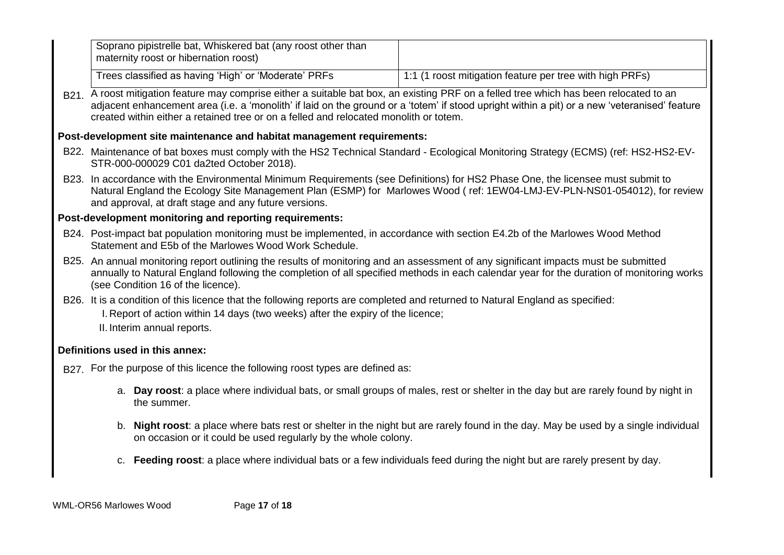| Soprano pipistrelle bat, Whiskered bat (any roost other than<br>maternity roost or hibernation roost)                                                                                                                                                                                                                                                                             |                                                                                                                                     |  |  |  |  |  |  |
|-----------------------------------------------------------------------------------------------------------------------------------------------------------------------------------------------------------------------------------------------------------------------------------------------------------------------------------------------------------------------------------|-------------------------------------------------------------------------------------------------------------------------------------|--|--|--|--|--|--|
| Trees classified as having 'High' or 'Moderate' PRFs                                                                                                                                                                                                                                                                                                                              | 1:1 (1 roost mitigation feature per tree with high PRFs)                                                                            |  |  |  |  |  |  |
| B21. A roost mitigation feature may comprise either a suitable bat box, an existing PRF on a felled tree which has been relocated to an<br>adjacent enhancement area (i.e. a 'monolith' if laid on the ground or a 'totem' if stood upright within a pit) or a new 'veteranised' feature<br>created within either a retained tree or on a felled and relocated monolith or totem. |                                                                                                                                     |  |  |  |  |  |  |
| Post-development site maintenance and habitat management requirements:                                                                                                                                                                                                                                                                                                            |                                                                                                                                     |  |  |  |  |  |  |
| B22. Maintenance of bat boxes must comply with the HS2 Technical Standard - Ecological Monitoring Strategy (ECMS) (ref: HS2-HS2-EV-<br>STR-000-000029 C01 da2ted October 2018).                                                                                                                                                                                                   |                                                                                                                                     |  |  |  |  |  |  |
| B23. In accordance with the Environmental Minimum Requirements (see Definitions) for HS2 Phase One, the licensee must submit to<br>Natural England the Ecology Site Management Plan (ESMP) for Marlowes Wood (ref: 1EW04-LMJ-EV-PLN-NS01-054012), for review<br>and approval, at draft stage and any future versions.                                                             |                                                                                                                                     |  |  |  |  |  |  |
| Post-development monitoring and reporting requirements:                                                                                                                                                                                                                                                                                                                           |                                                                                                                                     |  |  |  |  |  |  |
| B24. Post-impact bat population monitoring must be implemented, in accordance with section E4.2b of the Marlowes Wood Method<br>Statement and E5b of the Marlowes Wood Work Schedule.                                                                                                                                                                                             |                                                                                                                                     |  |  |  |  |  |  |
| B25. An annual monitoring report outlining the results of monitoring and an assessment of any significant impacts must be submitted<br>annually to Natural England following the completion of all specified methods in each calendar year for the duration of monitoring works<br>(see Condition 16 of the licence).                                                             |                                                                                                                                     |  |  |  |  |  |  |
| B26. It is a condition of this licence that the following reports are completed and returned to Natural England as specified:<br>I. Report of action within 14 days (two weeks) after the expiry of the licence;<br>II. Interim annual reports.                                                                                                                                   |                                                                                                                                     |  |  |  |  |  |  |
| Definitions used in this annex:                                                                                                                                                                                                                                                                                                                                                   |                                                                                                                                     |  |  |  |  |  |  |
| B27. For the purpose of this licence the following roost types are defined as:                                                                                                                                                                                                                                                                                                    |                                                                                                                                     |  |  |  |  |  |  |
| the summer.                                                                                                                                                                                                                                                                                                                                                                       | a. Day roost: a place where individual bats, or small groups of males, rest or shelter in the day but are rarely found by night in  |  |  |  |  |  |  |
| on occasion or it could be used regularly by the whole colony.                                                                                                                                                                                                                                                                                                                    | b. Night roost: a place where bats rest or shelter in the night but are rarely found in the day. May be used by a single individual |  |  |  |  |  |  |
| c. Feeding roost: a place where individual bats or a few individuals feed during the night but are rarely present by day.                                                                                                                                                                                                                                                         |                                                                                                                                     |  |  |  |  |  |  |